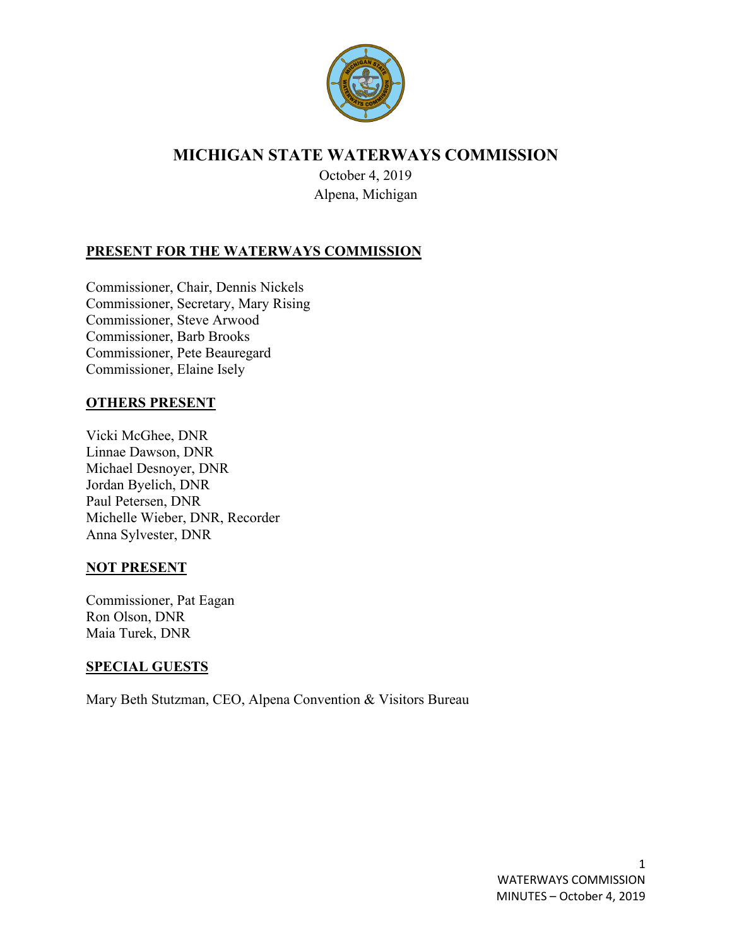

# **MICHIGAN STATE WATERWAYS COMMISSION**

October 4, 2019 Alpena, Michigan

# **PRESENT FOR THE WATERWAYS COMMISSION**

Commissioner, Chair, Dennis Nickels Commissioner, Secretary, Mary Rising Commissioner, Steve Arwood Commissioner, Barb Brooks Commissioner, Pete Beauregard Commissioner, Elaine Isely

#### **OTHERS PRESENT**

Vicki McGhee, DNR Linnae Dawson, DNR Michael Desnoyer, DNR Jordan Byelich, DNR Paul Petersen, DNR Michelle Wieber, DNR, Recorder Anna Sylvester, DNR

#### **NOT PRESENT**

Commissioner, Pat Eagan Ron Olson, DNR Maia Turek, DNR

#### **SPECIAL GUESTS**

Mary Beth Stutzman, CEO, Alpena Convention & Visitors Bureau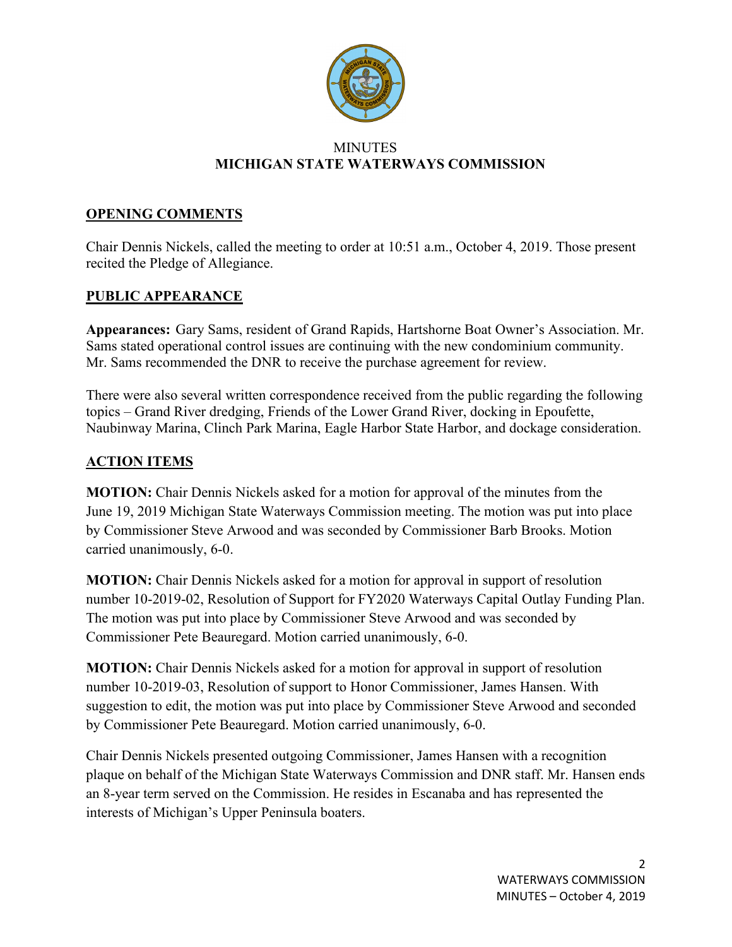

#### **MINUTES MICHIGAN STATE WATERWAYS COMMISSION**

### **OPENING COMMENTS**

Chair Dennis Nickels, called the meeting to order at 10:51 a.m., October 4, 2019. Those present recited the Pledge of Allegiance.

### **PUBLIC APPEARANCE**

**Appearances:** Gary Sams, resident of Grand Rapids, Hartshorne Boat Owner's Association. Mr. Sams stated operational control issues are continuing with the new condominium community. Mr. Sams recommended the DNR to receive the purchase agreement for review.

There were also several written correspondence received from the public regarding the following topics – Grand River dredging, Friends of the Lower Grand River, docking in Epoufette, Naubinway Marina, Clinch Park Marina, Eagle Harbor State Harbor, and dockage consideration.

### **ACTION ITEMS**

**MOTION:** Chair Dennis Nickels asked for a motion for approval of the minutes from the June 19, 2019 Michigan State Waterways Commission meeting. The motion was put into place by Commissioner Steve Arwood and was seconded by Commissioner Barb Brooks. Motion carried unanimously, 6-0.

**MOTION:** Chair Dennis Nickels asked for a motion for approval in support of resolution number 10-2019-02, Resolution of Support for FY2020 Waterways Capital Outlay Funding Plan. The motion was put into place by Commissioner Steve Arwood and was seconded by Commissioner Pete Beauregard. Motion carried unanimously, 6-0.

**MOTION:** Chair Dennis Nickels asked for a motion for approval in support of resolution number 10-2019-03, Resolution of support to Honor Commissioner, James Hansen. With suggestion to edit, the motion was put into place by Commissioner Steve Arwood and seconded by Commissioner Pete Beauregard. Motion carried unanimously, 6-0.

Chair Dennis Nickels presented outgoing Commissioner, James Hansen with a recognition plaque on behalf of the Michigan State Waterways Commission and DNR staff. Mr. Hansen ends an 8-year term served on the Commission. He resides in Escanaba and has represented the interests of Michigan's Upper Peninsula boaters.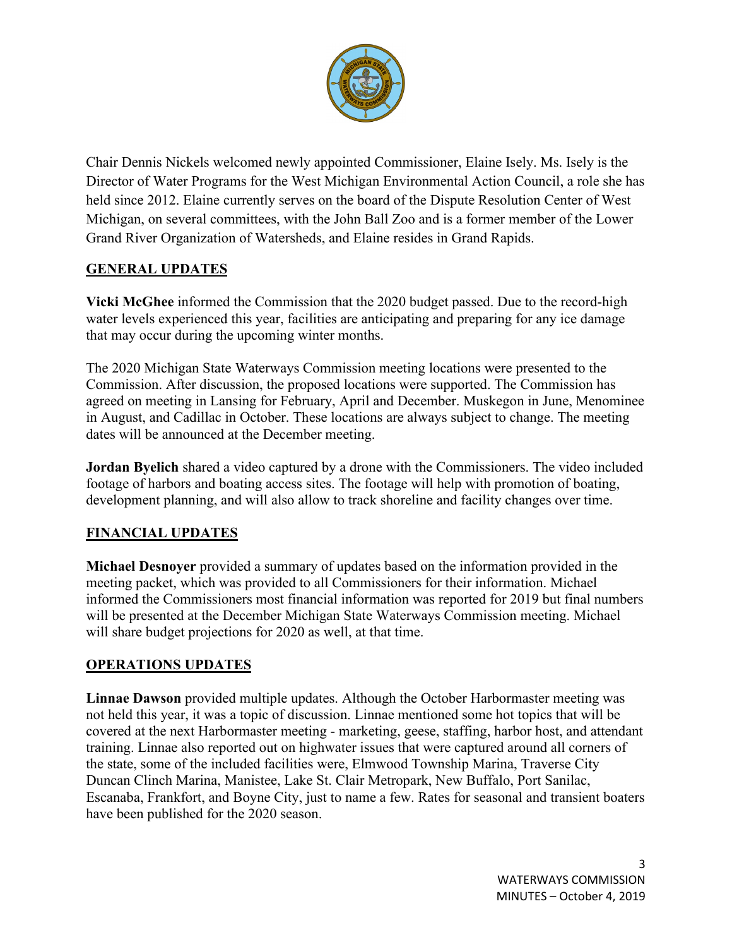

Chair Dennis Nickels welcomed newly appointed Commissioner, Elaine Isely. Ms. Isely is the Director of Water Programs for the West Michigan Environmental Action Council, a role she has held since 2012. Elaine currently serves on the board of the Dispute Resolution Center of West Michigan, on several committees, with the John Ball Zoo and is a former member of the Lower Grand River Organization of Watersheds, and Elaine resides in Grand Rapids.

# **GENERAL UPDATES**

**Vicki McGhee** informed the Commission that the 2020 budget passed. Due to the record-high water levels experienced this year, facilities are anticipating and preparing for any ice damage that may occur during the upcoming winter months.

The 2020 Michigan State Waterways Commission meeting locations were presented to the Commission. After discussion, the proposed locations were supported. The Commission has agreed on meeting in Lansing for February, April and December. Muskegon in June, Menominee in August, and Cadillac in October. These locations are always subject to change. The meeting dates will be announced at the December meeting.

**Jordan Byelich** shared a video captured by a drone with the Commissioners. The video included footage of harbors and boating access sites. The footage will help with promotion of boating, development planning, and will also allow to track shoreline and facility changes over time.

### **FINANCIAL UPDATES**

**Michael Desnoyer** provided a summary of updates based on the information provided in the meeting packet, which was provided to all Commissioners for their information. Michael informed the Commissioners most financial information was reported for 2019 but final numbers will be presented at the December Michigan State Waterways Commission meeting. Michael will share budget projections for 2020 as well, at that time.

# **OPERATIONS UPDATES**

**Linnae Dawson** provided multiple updates. Although the October Harbormaster meeting was not held this year, it was a topic of discussion. Linnae mentioned some hot topics that will be covered at the next Harbormaster meeting - marketing, geese, staffing, harbor host, and attendant training. Linnae also reported out on highwater issues that were captured around all corners of the state, some of the included facilities were, Elmwood Township Marina, Traverse City Duncan Clinch Marina, Manistee, Lake St. Clair Metropark, New Buffalo, Port Sanilac, Escanaba, Frankfort, and Boyne City, just to name a few. Rates for seasonal and transient boaters have been published for the 2020 season.